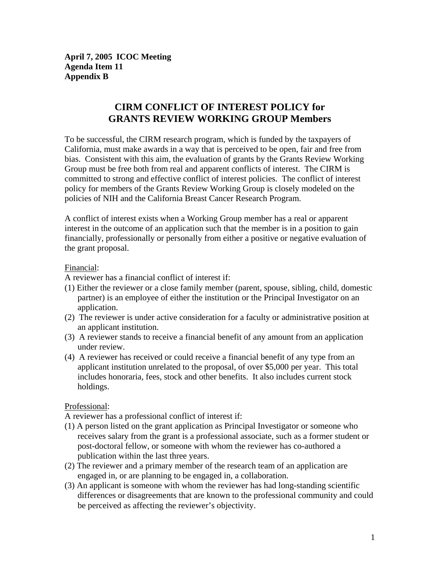**April 7, 2005 ICOC Meeting Agenda Item 11 Appendix B** 

# **CIRM CONFLICT OF INTEREST POLICY for GRANTS REVIEW WORKING GROUP Members**

To be successful, the CIRM research program, which is funded by the taxpayers of California, must make awards in a way that is perceived to be open, fair and free from bias. Consistent with this aim, the evaluation of grants by the Grants Review Working Group must be free both from real and apparent conflicts of interest. The CIRM is committed to strong and effective conflict of interest policies. The conflict of interest policy for members of the Grants Review Working Group is closely modeled on the policies of NIH and the California Breast Cancer Research Program.

A conflict of interest exists when a Working Group member has a real or apparent interest in the outcome of an application such that the member is in a position to gain financially, professionally or personally from either a positive or negative evaluation of the grant proposal.

#### Financial:

A reviewer has a financial conflict of interest if:

- (1) Either the reviewer or a close family member (parent, spouse, sibling, child, domestic partner) is an employee of either the institution or the Principal Investigator on an application.
- (2) The reviewer is under active consideration for a faculty or administrative position at an applicant institution.
- (3) A reviewer stands to receive a financial benefit of any amount from an application under review.
- (4) A reviewer has received or could receive a financial benefit of any type from an applicant institution unrelated to the proposal, of over \$5,000 per year. This total includes honoraria, fees, stock and other benefits. It also includes current stock holdings.

### Professional:

A reviewer has a professional conflict of interest if:

- (1) A person listed on the grant application as Principal Investigator or someone who receives salary from the grant is a professional associate, such as a former student or post-doctoral fellow, or someone with whom the reviewer has co-authored a publication within the last three years.
- (2) The reviewer and a primary member of the research team of an application are engaged in, or are planning to be engaged in, a collaboration.
- (3) An applicant is someone with whom the reviewer has had long-standing scientific differences or disagreements that are known to the professional community and could be perceived as affecting the reviewer's objectivity.